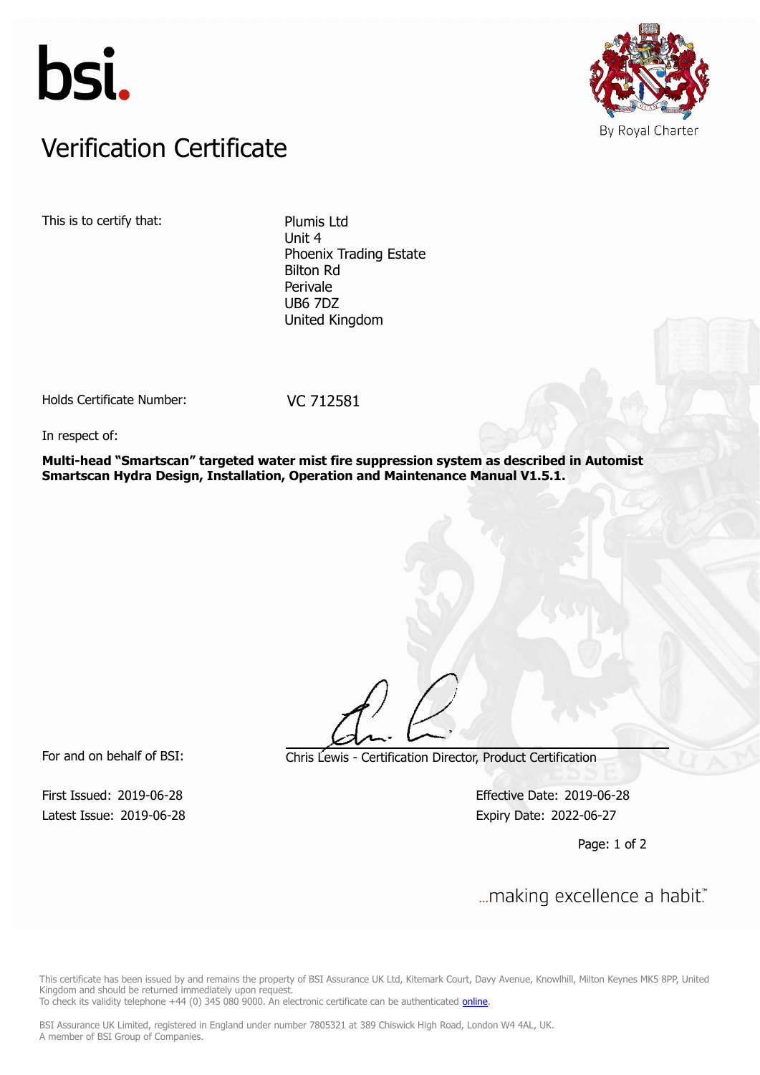



## Verification Certificate Verification Certificate

This is to certify that: Plumis Ltd

Unit 4 Phoenix Trading Estate Bilton Rd Perivale UB6 7DZ United Kingdom

Holds Certificate Number: VC 712581

In respect of:

**Multi-head "Smartscan" targeted water mist fire suppression system as described in Automist Smartscan Hydra Design, Installation, Operation and Maintenance Manual V1.5.1.**

Latest Issue: 2019-06-28 Expiry Date: 2022-06-27

For and on behalf of BSI: Chris Lewis - Certification Director, Product Certification

First Issued: 2019-06-28 Effective Date: 2019-06-28

Page: 1 of 2

First Issued: 2019-06-28 Effective Date: 2019-06-28

This certificate has been issued by and remains the property of BSI Assurance UK Ltd, Kitemark Court, Davy Avenue, Knowlhill, Milton Keynes MK5 8PP, United Kingdom and should be returned immediately upon request.

To check its validity telephone +44 (0) 345 080 9000. An electronic certificate can be authenticated *[online](https://pgplus.bsigroup.com/CertificateValidation/CertificateValidator.aspx?CertificateNumber=VC+712581&ReIssueDate=28%2f06%2f2019&Template=uk)*.

BSI Assurance UK Limited, registered in England under number 7805321 at 389 Chiswick High Road, London W4 4AL, UK. A member of BSI Group of Companies.